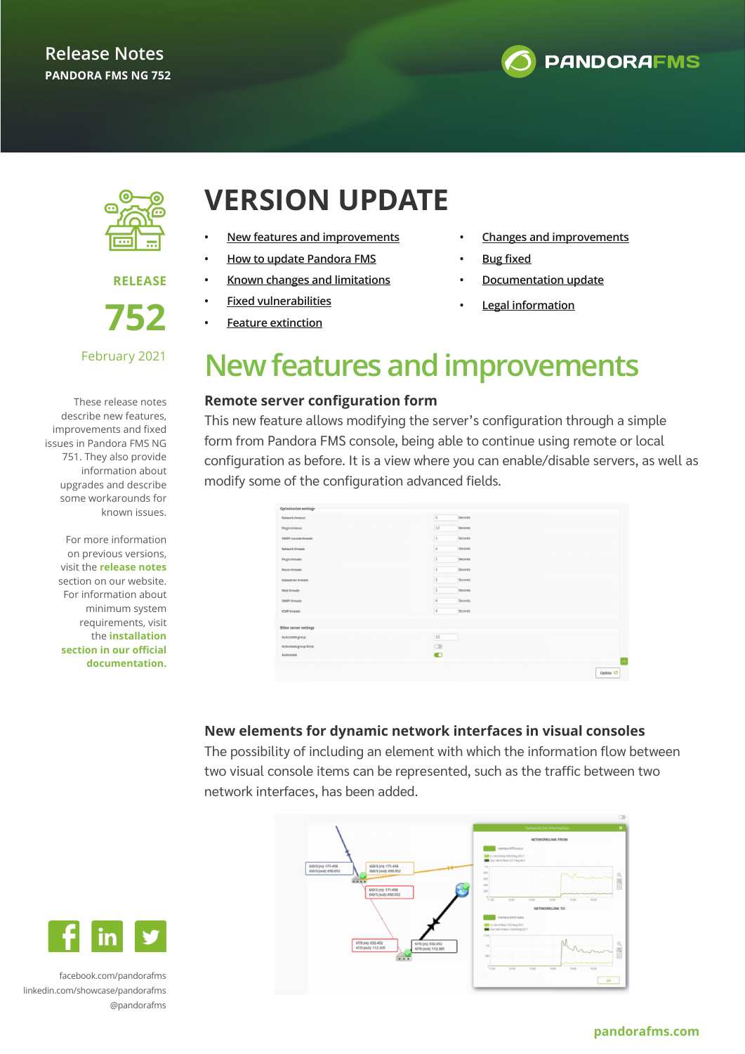



**RELEASE** 

**752**

### February 2021

These release notes describe new features, improvements and fixed issues in Pandora FMS NG 751. They also provide information about upgrades and describe some workarounds for known issues.

> For more information on previous versions, visit the **release notes** section on our website. For information about minimum system requirements, visit the **installation section in our official documentation.**

## **VERSION UPDATE**

- **• New features and improvements**
- **• [How to update Pandora FMS](#page-1-0)**
- **• [Known changes and limitations](#page-1-0)**
- **• [Fixed vulnerabilities](#page-1-0)**
- **• [Feature extinction](#page-2-0)**
- **• [Changes and improvements](#page-2-0)**
- **• [Bug fixed](#page-3-0)**
- **• [Documentation update](#page-7-0)**
- **• Legal information**

# **New features and improvements**

### **Remote server configuration form**

This new feature allows modifying the server's configuration through a simple form from Pandora FMS console, being able to continue using remote or local configuration as before. It is a view where you can enable/disable servers, as well as modify some of the configuration advanced fields.

| <b>Network timeout</b>    | $\vert 4$<br>Seconds   |  |
|---------------------------|------------------------|--|
| Plugin timeout            | 12<br>Seconds          |  |
| SNMP console threads      | E<br>Seconds           |  |
| Network threads           | $\vert 4$<br>Seconds   |  |
| <b>Plugin threads</b>     | I.<br>Seconds          |  |
| Recon threads             | $\mathbf 1$<br>Seconds |  |
| <b>Dataserver threads</b> | Is.<br>Seconds         |  |
| Web threads               | $\sim$<br>T<br>Seconds |  |
| SNMP threads              | $\sqrt{4}$<br>Seconds  |  |
| <b>ICMP threads</b>       | $\boxed{4}$<br>Seconds |  |
| Other server settings     |                        |  |
| Autocreate group          | 10                     |  |
| Autocreate group force    | $\circ$                |  |
| Autocreate                | $\bullet$              |  |

### **New elements for dynamic network interfaces in visual consoles**

The possibility of including an element with which the information flow between two visual console items can be represented, such as the traffic between two network interfaces, has been added.





[facebook.com/pandorafms](https://es-es.facebook.com/pandorafms/) [linkedin.com/showcase/pandorafms](https://www.linkedin.com/showcase/pandorafms) [@pandorafms](https://twitter.com/pandorafms)

### **[pandorafms.com](http://pandorafms.com)**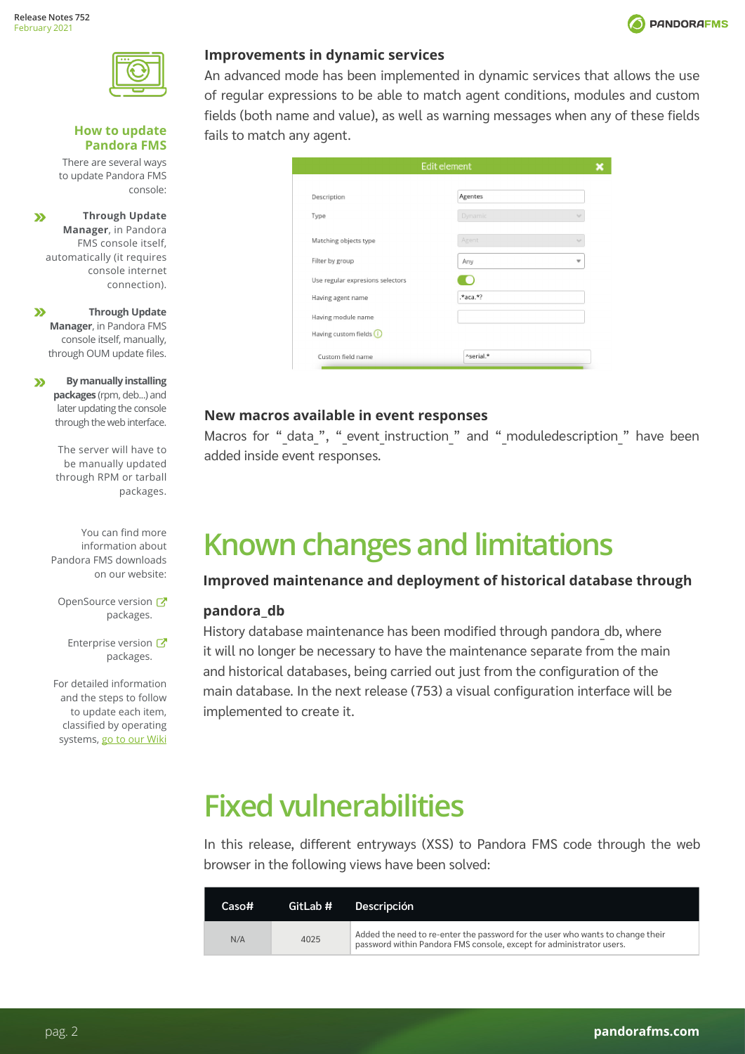<span id="page-1-0"></span>

### **How to update Pandora FMS**

There are several ways to update Pandora FMS console:

**Through Update**   $\mathbf{v}$ **Manager**, in Pandora FMS console itself, automatically (it requires console internet connection).

 $\mathbf{v}$ **Through Update Manager**, in Pandora FMS console itself, manually, through OUM update files.

**By manually installing**   $\mathbf{v}$ **packages** (rpm, deb...) and later updating the console through the web interface.

> The server will have to be manually updated through RPM or tarball packages.

You can find more information about Pandora FMS downloads on our website:

OpenSource version packages.

Enterprise version packages.

For detailed information and the steps to follow to update each item, classified by operating systems, go to our Wiki

### **Improvements in dynamic services**

An advanced mode has been implemented in dynamic services that allows the use of regular expressions to be able to match agent conditions, modules and custom fields (both name and value), as well as warning messages when any of these fields fails to match any agent.

|                                  | Edit element   |   |
|----------------------------------|----------------|---|
| Description                      | Agentes        |   |
| Type                             | Dynamic        | v |
| Matching objects type            | Agent          | w |
| Filter by group                  | Any            | v |
| Use regular expresions selectors |                |   |
| Having agent name                | $*$ aca. $*$ ? |   |
| Having module name               |                |   |
| Having custom fields $\bigcirc$  |                |   |
| Custom field name                | Aserial.*      |   |

### **New macros available in event responses**

Macros for " data ", " event instruction " and " moduledescription " have been added inside event responses.

# **Known changes and limitations**

### **Improved maintenance and deployment of historical database through**

### **pandora\_db**

History database maintenance has been modified through pandora db, where it will no longer be necessary to have the maintenance separate from the main and historical databases, being carried out just from the configuration of the main database. In the next release (753) a visual configuration interface will be implemented to create it.

# **Fixed vulnerabilities**

In this release, different entryways (XSS) to Pandora FMS code through the web browser in the following views have been solved:

| Caso# | GitLab # | <b>Descripción</b>                                                                                                                                     |
|-------|----------|--------------------------------------------------------------------------------------------------------------------------------------------------------|
| N/A   | 4025     | Added the need to re-enter the password for the user who wants to change their<br>password within Pandora FMS console, except for administrator users. |

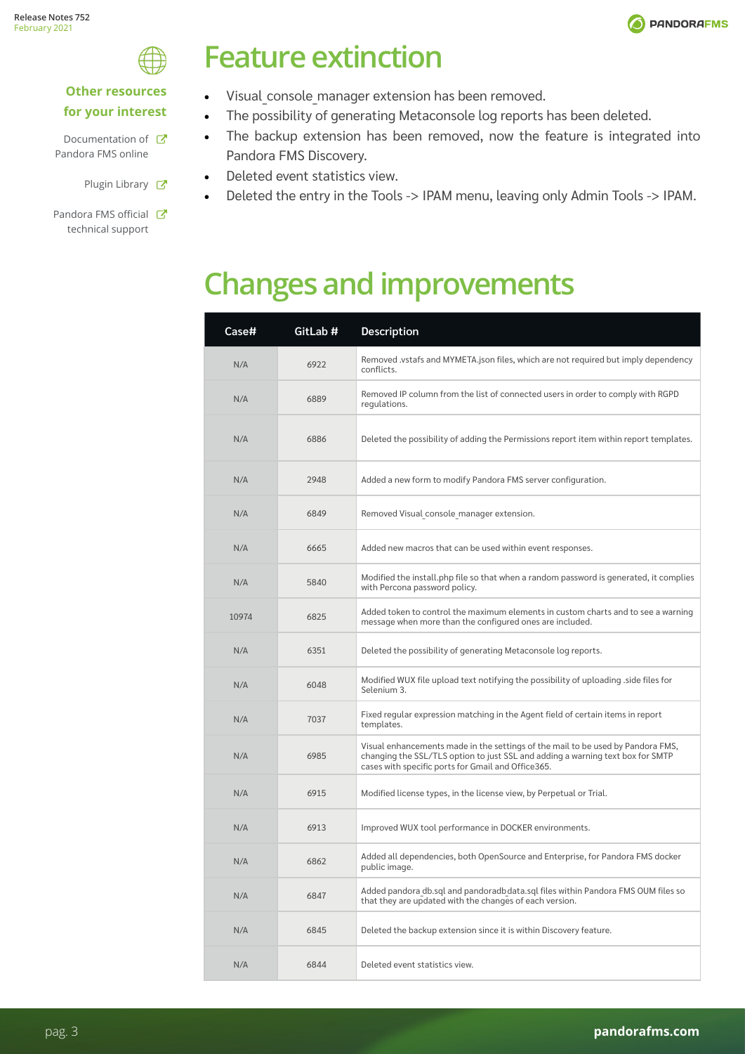

# <span id="page-2-0"></span>**Other resources**

### **for your interest**

- Documentation of  $\mathbb{Z}$ Pandora FMS online
	- Plugin Library &
- Pandora FMS official **T** technical support

# **Feature extinction**

- Visual console manager extension has been removed.
- The possibility of generating Metaconsole log reports has been deleted.
- The backup extension has been removed, now the feature is integrated into Pandora FMS Discovery.
- Deleted event statistics view.
- Deleted the entry in the Tools -> IPAM menu, leaving only Admin Tools -> IPAM.

# **Changes and improvements**

| Case# | GitLab # | Description                                                                                                                                                                                                             |
|-------|----------|-------------------------------------------------------------------------------------------------------------------------------------------------------------------------------------------------------------------------|
| N/A   | 6922     | Removed .vstafs and MYMETA.json files, which are not required but imply dependency<br>conflicts.                                                                                                                        |
| N/A   | 6889     | Removed IP column from the list of connected users in order to comply with RGPD<br>regulations.                                                                                                                         |
| N/A   | 6886     | Deleted the possibility of adding the Permissions report item within report templates.                                                                                                                                  |
| N/A   | 2948     | Added a new form to modify Pandora FMS server configuration.                                                                                                                                                            |
| N/A   | 6849     | Removed Visual console manager extension.                                                                                                                                                                               |
| N/A   | 6665     | Added new macros that can be used within event responses.                                                                                                                                                               |
| N/A   | 5840     | Modified the install.php file so that when a random password is generated, it complies<br>with Percona password policy.                                                                                                 |
| 10974 | 6825     | Added token to control the maximum elements in custom charts and to see a warning<br>message when more than the configured ones are included.                                                                           |
| N/A   | 6351     | Deleted the possibility of generating Metaconsole log reports.                                                                                                                                                          |
| N/A   | 6048     | Modified WUX file upload text notifying the possibility of uploading .side files for<br>Selenium 3.                                                                                                                     |
| N/A   | 7037     | Fixed regular expression matching in the Agent field of certain items in report<br>templates.                                                                                                                           |
| N/A   | 6985     | Visual enhancements made in the settings of the mail to be used by Pandora FMS,<br>changing the SSL/TLS option to just SSL and adding a warning text box for SMTP<br>cases with specific ports for Gmail and Office365. |
| N/A   | 6915     | Modified license types, in the license view, by Perpetual or Trial.                                                                                                                                                     |
| N/A   | 6913     | Improved WUX tool performance in DOCKER environments.                                                                                                                                                                   |
| N/A   | 6862     | Added all dependencies, both OpenSource and Enterprise, for Pandora FMS docker<br>public image.                                                                                                                         |
| N/A   | 6847     | Added pandora db.sql and pandoradbdata.sql files within Pandora FMS OUM files so<br>that they are updated with the changes of each version.                                                                             |
| N/A   | 6845     | Deleted the backup extension since it is within Discovery feature.                                                                                                                                                      |
| N/A   | 6844     | Deleted event statistics view.                                                                                                                                                                                          |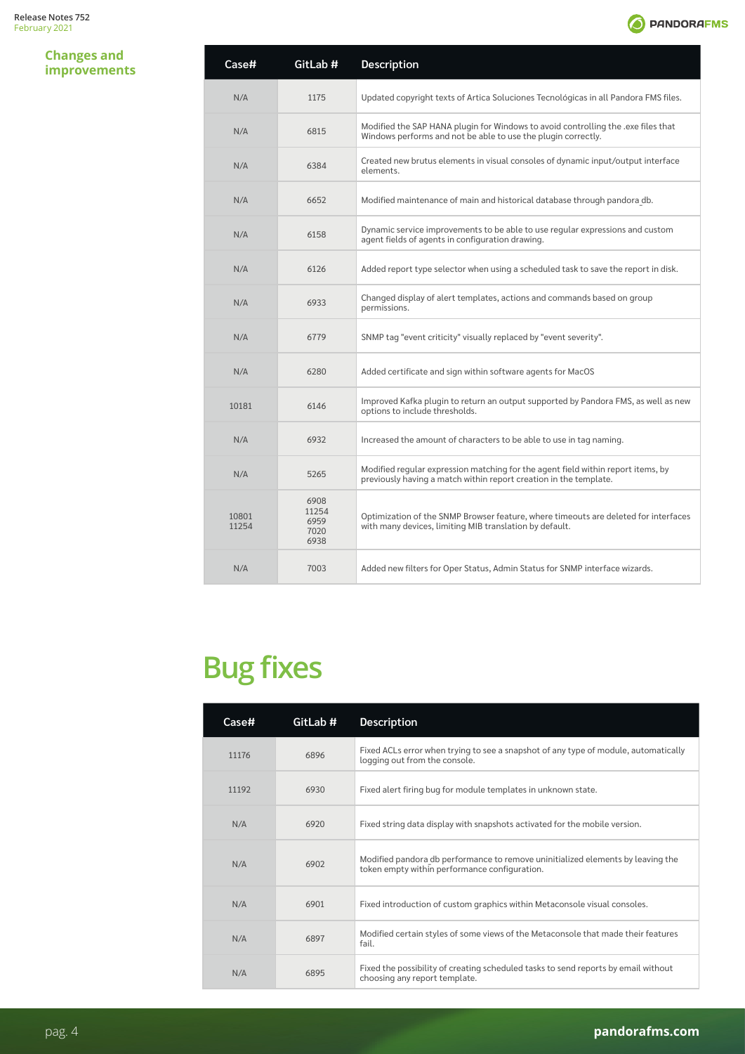### <span id="page-3-0"></span>**Changes and improvements**

| Case#          | GitLab #                              | Description                                                                                                                                           |
|----------------|---------------------------------------|-------------------------------------------------------------------------------------------------------------------------------------------------------|
| N/A            | 1175                                  | Updated copyright texts of Artica Soluciones Tecnológicas in all Pandora FMS files.                                                                   |
| N/A            | 6815                                  | Modified the SAP HANA plugin for Windows to avoid controlling the .exe files that<br>Windows performs and not be able to use the plugin correctly.    |
| N/A            | 6384                                  | Created new brutus elements in visual consoles of dynamic input/output interface<br>elements.                                                         |
| N/A            | 6652                                  | Modified maintenance of main and historical database through pandora db.                                                                              |
| N/A            | 6158                                  | Dynamic service improvements to be able to use regular expressions and custom<br>agent fields of agents in configuration drawing.                     |
| N/A            | 6126                                  | Added report type selector when using a scheduled task to save the report in disk.                                                                    |
| N/A            | 6933                                  | Changed display of alert templates, actions and commands based on group<br>permissions.                                                               |
| N/A            | 6779                                  | SNMP tag "event criticity" visually replaced by "event severity".                                                                                     |
| N/A            | 6280                                  | Added certificate and sign within software agents for MacOS                                                                                           |
| 10181          | 6146                                  | Improved Kafka plugin to return an output supported by Pandora FMS, as well as new<br>options to include thresholds.                                  |
| N/A            | 6932                                  | Increased the amount of characters to be able to use in tag naming.                                                                                   |
| N/A            | 5265                                  | Modified regular expression matching for the agent field within report items, by<br>previously having a match within report creation in the template. |
| 10801<br>11254 | 6908<br>11254<br>6959<br>7020<br>6938 | Optimization of the SNMP Browser feature, where timeouts are deleted for interfaces<br>with many devices, limiting MIB translation by default.        |
| N/A            | 7003                                  | Added new filters for Oper Status, Admin Status for SNMP interface wizards.                                                                           |

# **Bug fixes**

| Case# | GitLab # | <b>Description</b>                                                                                                               |
|-------|----------|----------------------------------------------------------------------------------------------------------------------------------|
| 11176 | 6896     | Fixed ACLs error when trying to see a snapshot of any type of module, automatically<br>logging out from the console.             |
| 11192 | 6930     | Fixed alert firing bug for module templates in unknown state.                                                                    |
| N/A   | 6920     | Fixed string data display with snapshots activated for the mobile version.                                                       |
| N/A   | 6902     | Modified pandora db performance to remove uninitialized elements by leaving the<br>token empty within performance configuration. |
| N/A   | 6901     | Fixed introduction of custom graphics within Metaconsole visual consoles.                                                        |
| N/A   | 6897     | Modified certain styles of some views of the Metaconsole that made their features<br>fail.                                       |
| N/A   | 6895     | Fixed the possibility of creating scheduled tasks to send reports by email without<br>choosing any report template.              |

**O** PANDORAFMS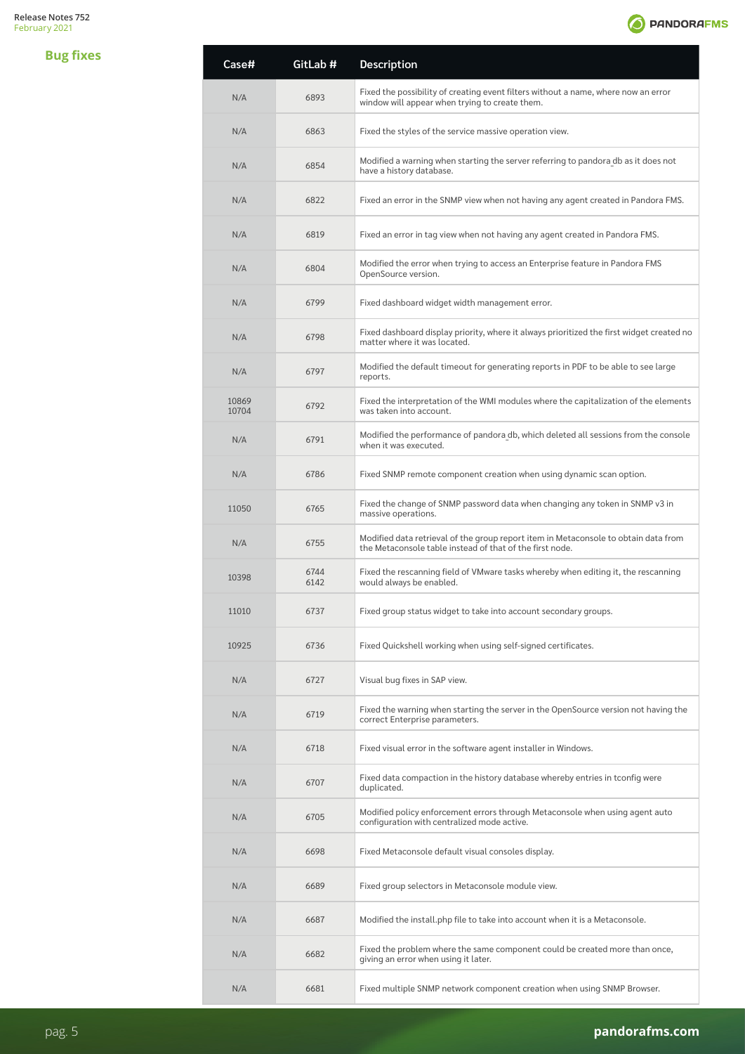

| <b>Bug fixes</b> | Case#          | GitLab #     | Description                                                                                                                                     |
|------------------|----------------|--------------|-------------------------------------------------------------------------------------------------------------------------------------------------|
|                  | N/A            | 6893         | Fixed the possibility of creating event filters without a name, where now an error<br>window will appear when trying to create them.            |
|                  | N/A            | 6863         | Fixed the styles of the service massive operation view.                                                                                         |
|                  | N/A            | 6854         | Modified a warning when starting the server referring to pandora db as it does not<br>have a history database.                                  |
|                  | N/A            | 6822         | Fixed an error in the SNMP view when not having any agent created in Pandora FMS.                                                               |
|                  | N/A            | 6819         | Fixed an error in tag view when not having any agent created in Pandora FMS.                                                                    |
|                  | N/A            | 6804         | Modified the error when trying to access an Enterprise feature in Pandora FMS<br>OpenSource version.                                            |
|                  | N/A            | 6799         | Fixed dashboard widget width management error.                                                                                                  |
|                  | N/A            | 6798         | Fixed dashboard display priority, where it always prioritized the first widget created no<br>matter where it was located.                       |
|                  | N/A            | 6797         | Modified the default timeout for generating reports in PDF to be able to see large<br>reports.                                                  |
|                  | 10869<br>10704 | 6792         | Fixed the interpretation of the WMI modules where the capitalization of the elements<br>was taken into account.                                 |
|                  | N/A            | 6791         | Modified the performance of pandora db, which deleted all sessions from the console<br>when it was executed.                                    |
|                  | N/A            | 6786         | Fixed SNMP remote component creation when using dynamic scan option.                                                                            |
|                  | 11050          | 6765         | Fixed the change of SNMP password data when changing any token in SNMP v3 in<br>massive operations.                                             |
|                  | N/A            | 6755         | Modified data retrieval of the group report item in Metaconsole to obtain data from<br>the Metaconsole table instead of that of the first node. |
|                  | 10398          | 6744<br>6142 | Fixed the rescanning field of VMware tasks whereby when editing it, the rescanning<br>would always be enabled.                                  |
|                  | 11010          | 6737         | Fixed group status widget to take into account secondary groups.                                                                                |
|                  | 10925          | 6736         | Fixed Quickshell working when using self-signed certificates.                                                                                   |
|                  | N/A            | 6727         | Visual bug fixes in SAP view.                                                                                                                   |
|                  | N/A            | 6719         | Fixed the warning when starting the server in the OpenSource version not having the<br>correct Enterprise parameters.                           |
|                  | N/A            | 6718         | Fixed visual error in the software agent installer in Windows.                                                                                  |
|                  | N/A            | 6707         | Fixed data compaction in the history database whereby entries in tconfig were<br>duplicated.                                                    |
|                  | N/A            | 6705         | Modified policy enforcement errors through Metaconsole when using agent auto<br>configuration with centralized mode active.                     |
|                  | N/A            | 6698         | Fixed Metaconsole default visual consoles display.                                                                                              |
|                  | N/A            | 6689         | Fixed group selectors in Metaconsole module view.                                                                                               |
|                  | N/A            | 6687         | Modified the install php file to take into account when it is a Metaconsole.                                                                    |
|                  | N/A            | 6682         | Fixed the problem where the same component could be created more than once,<br>giving an error when using it later.                             |
|                  | N/A            | 6681         | Fixed multiple SNMP network component creation when using SNMP Browser.                                                                         |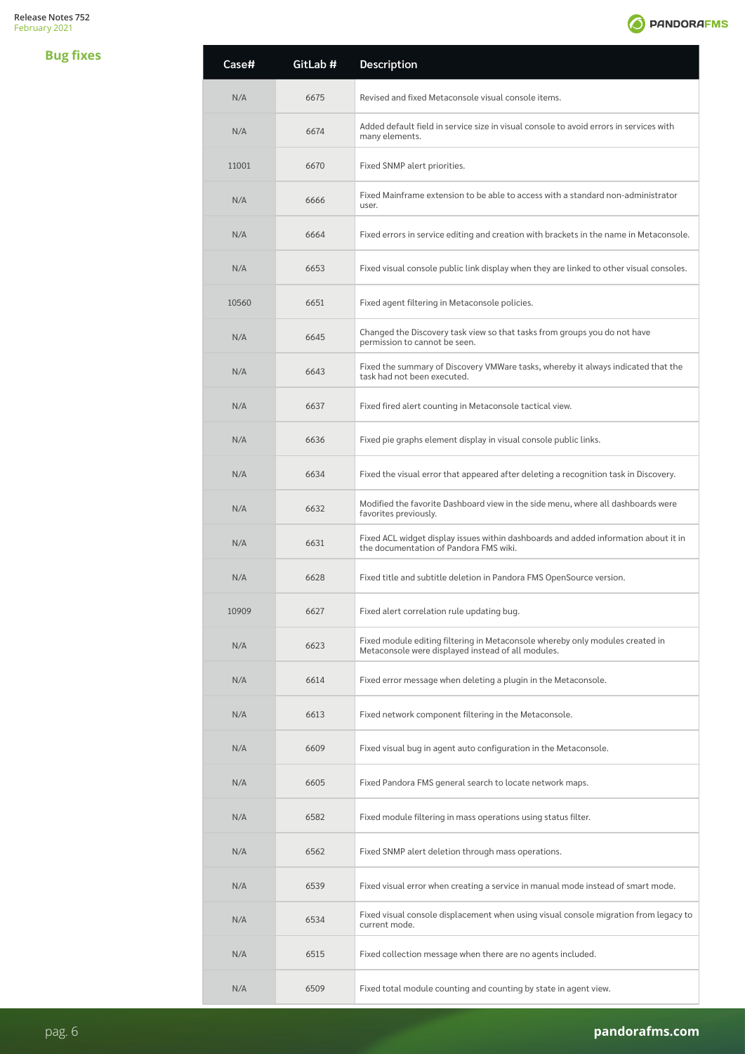**Bug fixes**



| <b>Case#</b> | GitLab # | <b>Description</b>                                                                                                                  |
|--------------|----------|-------------------------------------------------------------------------------------------------------------------------------------|
| N/A          | 6675     | Revised and fixed Metaconsole visual console items.                                                                                 |
| N/A          | 6674     | Added default field in service size in visual console to avoid errors in services with<br>many elements.                            |
| 11001        | 6670     | Fixed SNMP alert priorities.                                                                                                        |
| N/A          | 6666     | Fixed Mainframe extension to be able to access with a standard non-administrator<br>user.                                           |
| N/A          | 6664     | Fixed errors in service editing and creation with brackets in the name in Metaconsole.                                              |
| N/A          | 6653     | Fixed visual console public link display when they are linked to other visual consoles.                                             |
| 10560        | 6651     | Fixed agent filtering in Metaconsole policies.                                                                                      |
| N/A          | 6645     | Changed the Discovery task view so that tasks from groups you do not have<br>permission to cannot be seen.                          |
| N/A          | 6643     | Fixed the summary of Discovery VMWare tasks, whereby it always indicated that the<br>task had not been executed.                    |
| N/A          | 6637     | Fixed fired alert counting in Metaconsole tactical view.                                                                            |
| N/A          | 6636     | Fixed pie graphs element display in visual console public links.                                                                    |
| N/A          | 6634     | Fixed the visual error that appeared after deleting a recognition task in Discovery.                                                |
| N/A          | 6632     | Modified the favorite Dashboard view in the side menu, where all dashboards were<br>favorites previously.                           |
| N/A          | 6631     | Fixed ACL widget display issues within dashboards and added information about it in<br>the documentation of Pandora FMS wiki.       |
| N/A          | 6628     | Fixed title and subtitle deletion in Pandora FMS OpenSource version.                                                                |
| 10909        | 6627     | Fixed alert correlation rule updating bug.                                                                                          |
| N/A          | 6623     | Fixed module editing filtering in Metaconsole whereby only modules created in<br>Metaconsole were displayed instead of all modules. |
| N/A          | 6614     | Fixed error message when deleting a plugin in the Metaconsole.                                                                      |
| N/A          | 6613     | Fixed network component filtering in the Metaconsole.                                                                               |
| N/A          | 6609     | Fixed visual bug in agent auto configuration in the Metaconsole.                                                                    |
| N/A          | 6605     | Fixed Pandora FMS general search to locate network maps.                                                                            |
| N/A          | 6582     | Fixed module filtering in mass operations using status filter.                                                                      |
| N/A          | 6562     | Fixed SNMP alert deletion through mass operations.                                                                                  |
| N/A          | 6539     | Fixed visual error when creating a service in manual mode instead of smart mode.                                                    |
| N/A          | 6534     | Fixed visual console displacement when using visual console migration from legacy to<br>current mode.                               |
| N/A          | 6515     | Fixed collection message when there are no agents included.                                                                         |
| N/A          | 6509     | Fixed total module counting and counting by state in agent view.                                                                    |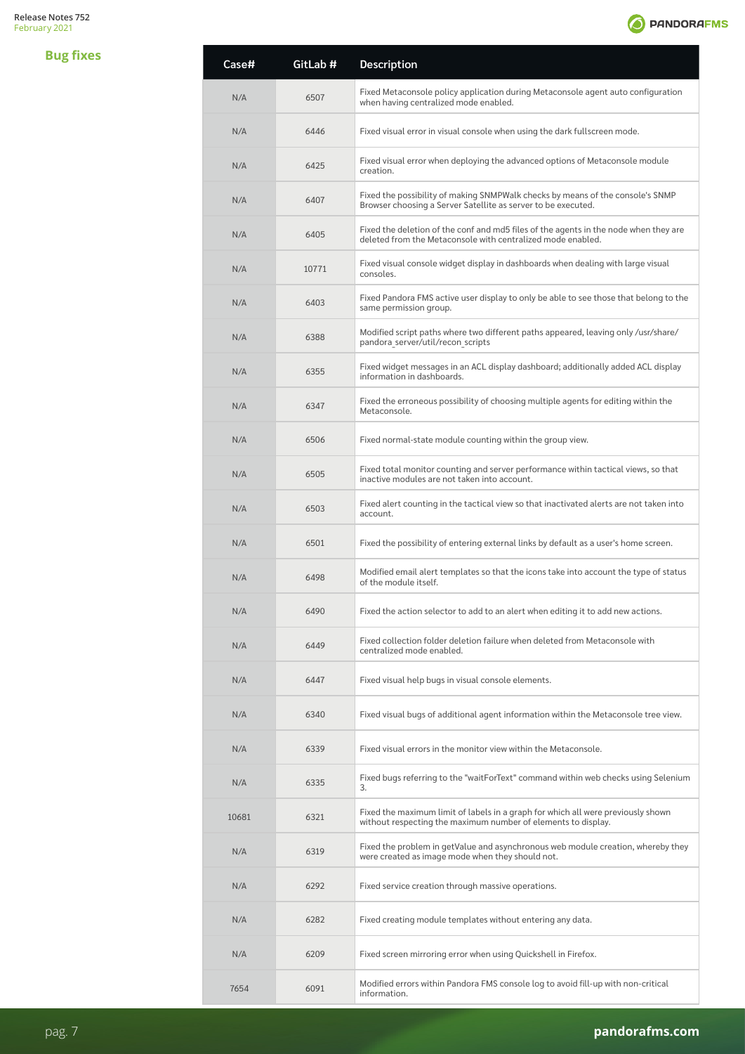**Bug fixes**



| Case# | GitLab # | Description                                                                                                                                         |
|-------|----------|-----------------------------------------------------------------------------------------------------------------------------------------------------|
| N/A   | 6507     | Fixed Metaconsole policy application during Metaconsole agent auto configuration<br>when having centralized mode enabled.                           |
| N/A   | 6446     | Fixed visual error in visual console when using the dark fullscreen mode.                                                                           |
| N/A   | 6425     | Fixed visual error when deploying the advanced options of Metaconsole module<br>creation.                                                           |
| N/A   | 6407     | Fixed the possibility of making SNMPWalk checks by means of the console's SNMP<br>Browser choosing a Server Satellite as server to be executed.     |
| N/A   | 6405     | Fixed the deletion of the conf and md5 files of the agents in the node when they are<br>deleted from the Metaconsole with centralized mode enabled. |
| N/A   | 10771    | Fixed visual console widget display in dashboards when dealing with large visual<br>consoles.                                                       |
| N/A   | 6403     | Fixed Pandora FMS active user display to only be able to see those that belong to the<br>same permission group.                                     |
| N/A   | 6388     | Modified script paths where two different paths appeared, leaving only /usr/share/<br>pandora server/util/recon scripts                             |
| N/A   | 6355     | Fixed widget messages in an ACL display dashboard; additionally added ACL display<br>information in dashboards.                                     |
| N/A   | 6347     | Fixed the erroneous possibility of choosing multiple agents for editing within the<br>Metaconsole.                                                  |
| N/A   | 6506     | Fixed normal-state module counting within the group view.                                                                                           |
| N/A   | 6505     | Fixed total monitor counting and server performance within tactical views, so that<br>inactive modules are not taken into account.                  |
| N/A   | 6503     | Fixed alert counting in the tactical view so that inactivated alerts are not taken into<br>account.                                                 |
| N/A   | 6501     | Fixed the possibility of entering external links by default as a user's home screen.                                                                |
| N/A   | 6498     | Modified email alert templates so that the icons take into account the type of status<br>of the module itself.                                      |
| N/A   | 6490     | Fixed the action selector to add to an alert when editing it to add new actions.                                                                    |
| N/A   | 6449     | Fixed collection folder deletion failure when deleted from Metaconsole with<br>centralized mode enabled.                                            |
| N/A   | 6447     | Fixed visual help bugs in visual console elements.                                                                                                  |
| N/A   | 6340     | Fixed visual bugs of additional agent information within the Metaconsole tree view.                                                                 |
| N/A   | 6339     | Fixed visual errors in the monitor view within the Metaconsole.                                                                                     |
| N/A   | 6335     | Fixed bugs referring to the "waitForText" command within web checks using Selenium<br>3.                                                            |
| 10681 | 6321     | Fixed the maximum limit of labels in a graph for which all were previously shown<br>without respecting the maximum number of elements to display.   |
| N/A   | 6319     | Fixed the problem in getValue and asynchronous web module creation, whereby they<br>were created as image mode when they should not.                |
| N/A   | 6292     | Fixed service creation through massive operations.                                                                                                  |
| N/A   | 6282     | Fixed creating module templates without entering any data.                                                                                          |
| N/A   | 6209     | Fixed screen mirroring error when using Quickshell in Firefox.                                                                                      |
| 7654  | 6091     | Modified errors within Pandora FMS console log to avoid fill-up with non-critical<br>information.                                                   |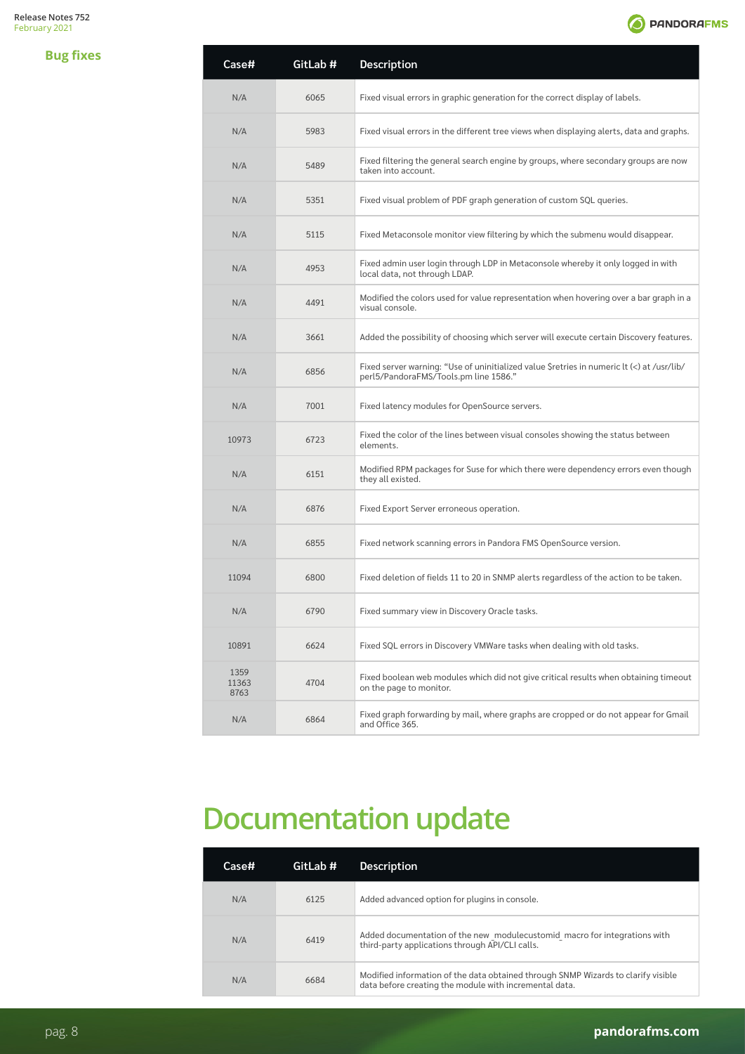<span id="page-7-0"></span>**Bug fixes**



| Case#                 | GitLab # | Description                                                                                                                         |
|-----------------------|----------|-------------------------------------------------------------------------------------------------------------------------------------|
| N/A                   | 6065     | Fixed visual errors in graphic generation for the correct display of labels.                                                        |
| N/A                   | 5983     | Fixed visual errors in the different tree views when displaying alerts, data and graphs.                                            |
| N/A                   | 5489     | Fixed filtering the general search engine by groups, where secondary groups are now<br>taken into account.                          |
| N/A                   | 5351     | Fixed visual problem of PDF graph generation of custom SQL queries.                                                                 |
| N/A                   | 5115     | Fixed Metaconsole monitor view filtering by which the submenu would disappear.                                                      |
| N/A                   | 4953     | Fixed admin user login through LDP in Metaconsole whereby it only logged in with<br>local data, not through LDAP.                   |
| N/A                   | 4491     | Modified the colors used for value representation when hovering over a bar graph in a<br>visual console.                            |
| N/A                   | 3661     | Added the possibility of choosing which server will execute certain Discovery features.                                             |
| N/A                   | 6856     | Fixed server warning: "Use of uninitialized value \$retries in numeric lt (<) at /usr/lib/<br>perl5/PandoraFMS/Tools.pm line 1586." |
| N/A                   | 7001     | Fixed latency modules for OpenSource servers.                                                                                       |
| 10973                 | 6723     | Fixed the color of the lines between visual consoles showing the status between<br>elements.                                        |
| N/A                   | 6151     | Modified RPM packages for Suse for which there were dependency errors even though<br>they all existed.                              |
| N/A                   | 6876     | Fixed Export Server erroneous operation.                                                                                            |
| N/A                   | 6855     | Fixed network scanning errors in Pandora FMS OpenSource version.                                                                    |
| 11094                 | 6800     | Fixed deletion of fields 11 to 20 in SNMP alerts regardless of the action to be taken.                                              |
| N/A                   | 6790     | Fixed summary view in Discovery Oracle tasks.                                                                                       |
| 10891                 | 6624     | Fixed SQL errors in Discovery VMWare tasks when dealing with old tasks.                                                             |
| 1359<br>11363<br>8763 | 4704     | Fixed boolean web modules which did not give critical results when obtaining timeout<br>on the page to monitor.                     |
| N/A                   | 6864     | Fixed graph forwarding by mail, where graphs are cropped or do not appear for Gmail<br>and Office 365.                              |

# **Documentation update**

| <b>Case#</b> | GitLab # | <b>Description</b>                                                                                                                          |
|--------------|----------|---------------------------------------------------------------------------------------------------------------------------------------------|
| N/A          | 6125     | Added advanced option for plugins in console.                                                                                               |
| N/A          | 6419     | Added documentation of the new modulecustomid macro for integrations with<br>third-party applications through API/CLI calls.                |
| N/A          | 6684     | Modified information of the data obtained through SNMP Wizards to clarify visible<br>data before creating the module with incremental data. |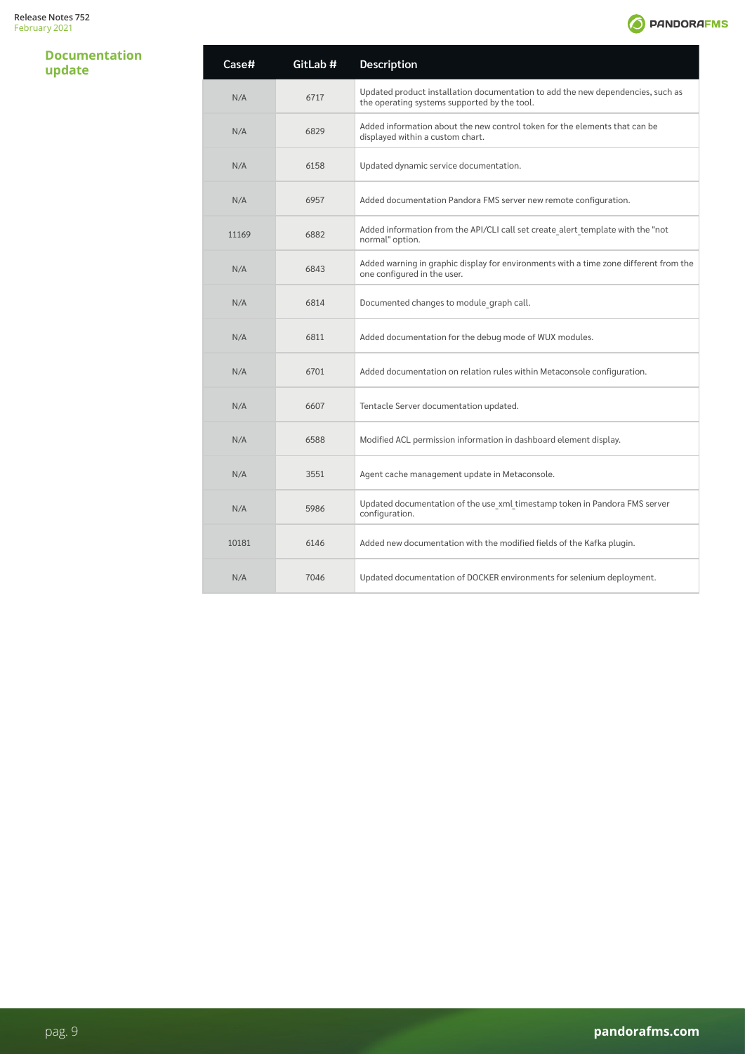### **Documentation update**

| Case# | GitLab # | Description                                                                                                                     |
|-------|----------|---------------------------------------------------------------------------------------------------------------------------------|
| N/A   | 6717     | Updated product installation documentation to add the new dependencies, such as<br>the operating systems supported by the tool. |
| N/A   | 6829     | Added information about the new control token for the elements that can be<br>displayed within a custom chart.                  |
| N/A   | 6158     | Updated dynamic service documentation.                                                                                          |
| N/A   | 6957     | Added documentation Pandora FMS server new remote configuration.                                                                |
| 11169 | 6882     | Added information from the API/CLI call set create alert template with the "not<br>normal" option.                              |
| N/A   | 6843     | Added warning in graphic display for environments with a time zone different from the<br>one configured in the user.            |
| N/A   | 6814     | Documented changes to module graph call.                                                                                        |
| N/A   | 6811     | Added documentation for the debug mode of WUX modules.                                                                          |
| N/A   | 6701     | Added documentation on relation rules within Metaconsole configuration.                                                         |
| N/A   | 6607     | Tentacle Server documentation updated.                                                                                          |
| N/A   | 6588     | Modified ACL permission information in dashboard element display.                                                               |
| N/A   | 3551     | Agent cache management update in Metaconsole.                                                                                   |
| N/A   | 5986     | Updated documentation of the use xml timestamp token in Pandora FMS server<br>configuration.                                    |
| 10181 | 6146     | Added new documentation with the modified fields of the Kafka plugin.                                                           |
| N/A   | 7046     | Updated documentation of DOCKER environments for selenium deployment.                                                           |

**O** PANDORAFMS